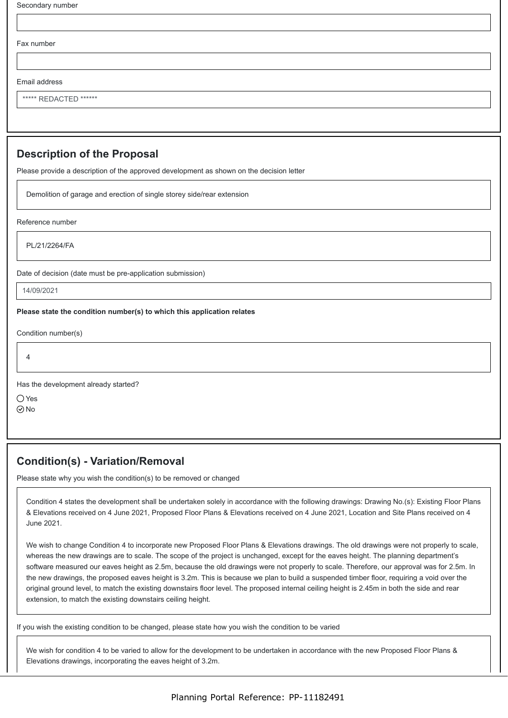Fax number

Email address

\*\*\*\*\* REDACTED \*\*\*\*\*\*

## **Description of the Proposal**

Please provide a description of the approved development as shown on the decision letter

Demolition of garage and erection of single storey side/rear extension

Reference number

PL/21/2264/FA

Date of decision (date must be pre-application submission)

14/09/2021

## **Please state the condition number(s) to which this application relates**

Condition number(s)

4

Has the development already started?

○Yes ⊘<sub>No</sub>

## **Condition(s) - Variation/Removal**

Please state why you wish the condition(s) to be removed or changed

Condition 4 states the development shall be undertaken solely in accordance with the following drawings: Drawing No.(s): Existing Floor Plans & Elevations received on 4 June 2021, Proposed Floor Plans & Elevations received on 4 June 2021, Location and Site Plans received on 4 June 2021.

We wish to change Condition 4 to incorporate new Proposed Floor Plans & Elevations drawings. The old drawings were not properly to scale, whereas the new drawings are to scale. The scope of the project is unchanged, except for the eaves height. The planning department's software measured our eaves height as 2.5m, because the old drawings were not properly to scale. Therefore, our approval was for 2.5m. In the new drawings, the proposed eaves height is 3.2m. This is because we plan to build a suspended timber floor, requiring a void over the original ground level, to match the existing downstairs floor level. The proposed internal ceiling height is 2.45m in both the side and rear extension, to match the existing downstairs ceiling height.

If you wish the existing condition to be changed, please state how you wish the condition to be varied

We wish for condition 4 to be varied to allow for the development to be undertaken in accordance with the new Proposed Floor Plans & Elevations drawings, incorporating the eaves height of 3.2m.